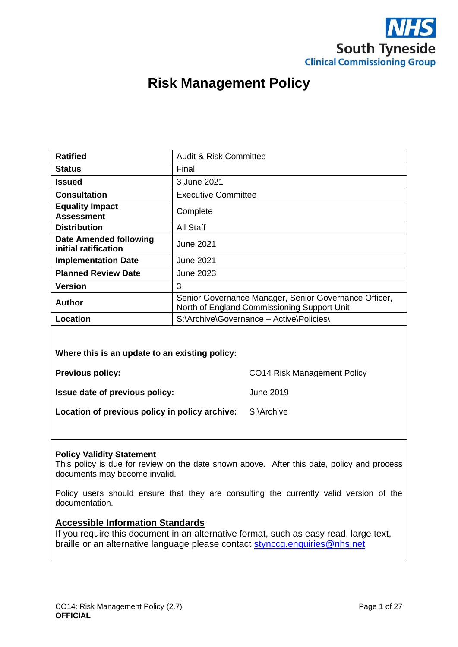

# **Risk Management Policy**

| <b>Ratified</b>                                | Audit & Risk Committee                                                                               |
|------------------------------------------------|------------------------------------------------------------------------------------------------------|
| <b>Status</b>                                  | Final                                                                                                |
| <b>Issued</b>                                  | 3 June 2021                                                                                          |
| <b>Consultation</b>                            | <b>Executive Committee</b>                                                                           |
| <b>Equality Impact</b><br><b>Assessment</b>    | Complete                                                                                             |
| <b>Distribution</b>                            | All Staff                                                                                            |
| Date Amended following<br>initial ratification | June 2021                                                                                            |
| <b>Implementation Date</b>                     | <b>June 2021</b>                                                                                     |
| <b>Planned Review Date</b>                     | June 2023                                                                                            |
| <b>Version</b>                                 | 3                                                                                                    |
| <b>Author</b>                                  | Senior Governance Manager, Senior Governance Officer,<br>North of England Commissioning Support Unit |
| Location                                       | S:\Archive\Governance - Active\Policies\                                                             |
|                                                |                                                                                                      |

#### **Where this is an update to an existing policy:**

| <b>Previous policy:</b> |  |
|-------------------------|--|

**Previous Previous Previous CO14 Risk Management Policy** 

| Issue date of previous policy: | June 2019 |
|--------------------------------|-----------|
|--------------------------------|-----------|

**Location of previous policy in policy archive:** S:\Archive

#### **Policy Validity Statement**

This policy is due for review on the date shown above. After this date, policy and process documents may become invalid.

Policy users should ensure that they are consulting the currently valid version of the documentation.

#### **Accessible Information Standards**

If you require this document in an alternative format, such as easy read, large text, braille or an alternative language please contact [stynccg.enquiries@nhs.net](mailto:stynccg.enquiries@nhs.net)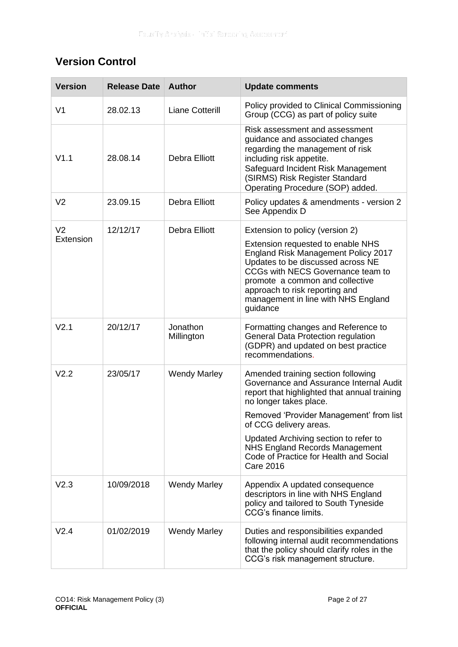## **Version Control**

| <b>Version</b>              | <b>Release Date</b> | <b>Author</b>          | <b>Update comments</b>                                                                                                                                                                                                                                                                                               |  |
|-----------------------------|---------------------|------------------------|----------------------------------------------------------------------------------------------------------------------------------------------------------------------------------------------------------------------------------------------------------------------------------------------------------------------|--|
| V <sub>1</sub>              | 28.02.13            | <b>Liane Cotterill</b> | Policy provided to Clinical Commissioning<br>Group (CCG) as part of policy suite                                                                                                                                                                                                                                     |  |
| V1.1                        | 28.08.14            | Debra Elliott          | Risk assessment and assessment<br>guidance and associated changes<br>regarding the management of risk<br>including risk appetite.<br>Safeguard Incident Risk Management<br>(SIRMS) Risk Register Standard<br>Operating Procedure (SOP) added.                                                                        |  |
| V <sub>2</sub>              | 23.09.15            | <b>Debra Elliott</b>   | Policy updates & amendments - version 2<br>See Appendix D                                                                                                                                                                                                                                                            |  |
| V <sub>2</sub><br>Extension | 12/12/17            | <b>Debra Elliott</b>   | Extension to policy (version 2)<br>Extension requested to enable NHS<br><b>England Risk Management Policy 2017</b><br>Updates to be discussed across NE<br>CCGs with NECS Governance team to<br>promote a common and collective<br>approach to risk reporting and<br>management in line with NHS England<br>guidance |  |
| V <sub>2.1</sub>            | 20/12/17            | Jonathon<br>Millington | Formatting changes and Reference to<br>General Data Protection regulation<br>(GDPR) and updated on best practice<br>recommendations.                                                                                                                                                                                 |  |
| V <sub>2.2</sub>            | 23/05/17            | <b>Wendy Marley</b>    | Amended training section following<br>Governance and Assurance Internal Audit<br>report that highlighted that annual training<br>no longer takes place.<br>Removed 'Provider Management' from list                                                                                                                   |  |
|                             |                     |                        | of CCG delivery areas.<br>Updated Archiving section to refer to<br><b>NHS England Records Management</b><br>Code of Practice for Health and Social<br><b>Care 2016</b>                                                                                                                                               |  |
| V <sub>2.3</sub>            | 10/09/2018          | <b>Wendy Marley</b>    | Appendix A updated consequence<br>descriptors in line with NHS England<br>policy and tailored to South Tyneside<br>CCG's finance limits.                                                                                                                                                                             |  |
| V2.4                        | 01/02/2019          | <b>Wendy Marley</b>    | Duties and responsibilities expanded<br>following internal audit recommendations<br>that the policy should clarify roles in the<br>CCG's risk management structure.                                                                                                                                                  |  |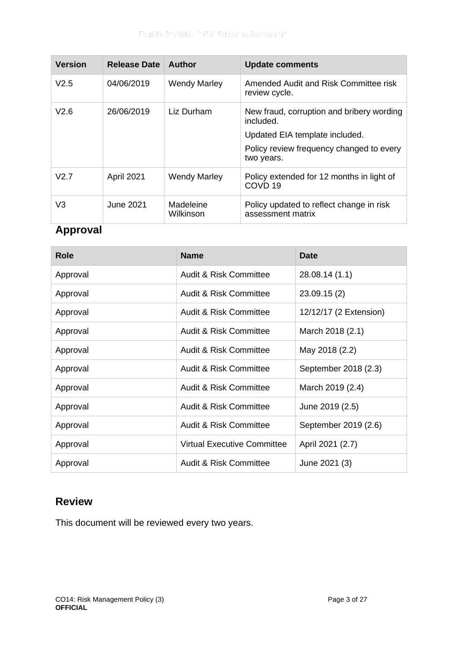| <b>Version</b> | Release Date | <b>Author</b>          | <b>Update comments</b>                                                                                                                             |  |
|----------------|--------------|------------------------|----------------------------------------------------------------------------------------------------------------------------------------------------|--|
| V2.5           | 04/06/2019   | <b>Wendy Marley</b>    | Amended Audit and Risk Committee risk<br>review cycle.                                                                                             |  |
| V2.6           | 26/06/2019   | Liz Durham             | New fraud, corruption and bribery wording<br>included.<br>Updated EIA template included.<br>Policy review frequency changed to every<br>two years. |  |
| V2.7           | April 2021   | <b>Wendy Marley</b>    | Policy extended for 12 months in light of<br>COVD <sub>19</sub>                                                                                    |  |
| V3             | June 2021.   | Madeleine<br>Wilkinson | Policy updated to reflect change in risk<br>assessment matrix                                                                                      |  |

## **Approval**

| <b>Role</b> | <b>Name</b>                        | Date                   |
|-------------|------------------------------------|------------------------|
| Approval    | Audit & Risk Committee             | 28.08.14 (1.1)         |
| Approval    | Audit & Risk Committee             | 23.09.15(2)            |
| Approval    | Audit & Risk Committee             | 12/12/17 (2 Extension) |
| Approval    | Audit & Risk Committee             | March 2018 (2.1)       |
| Approval    | <b>Audit &amp; Risk Committee</b>  | May 2018 (2.2)         |
| Approval    | <b>Audit &amp; Risk Committee</b>  | September 2018 (2.3)   |
| Approval    | <b>Audit &amp; Risk Committee</b>  | March 2019 (2.4)       |
| Approval    | Audit & Risk Committee             | June 2019 (2.5)        |
| Approval    | Audit & Risk Committee             | September 2019 (2.6)   |
| Approval    | <b>Virtual Executive Committee</b> | April 2021 (2.7)       |
| Approval    | Audit & Risk Committee             | June 2021 (3)          |

## **Review**

This document will be reviewed every two years.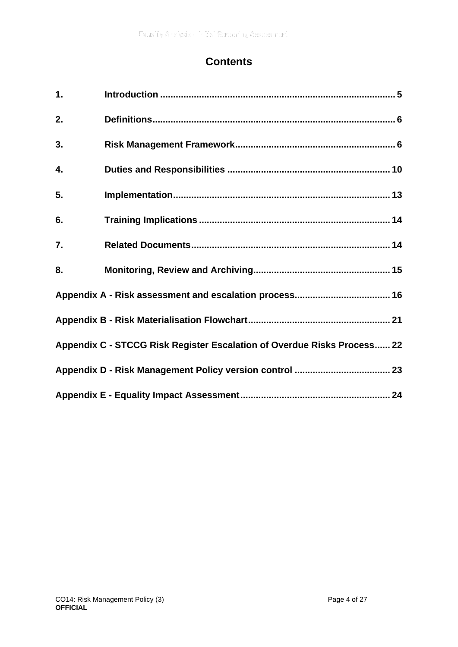## **Contents**

| 1. |                                                                         |  |
|----|-------------------------------------------------------------------------|--|
| 2. |                                                                         |  |
| 3. |                                                                         |  |
| 4. |                                                                         |  |
| 5. |                                                                         |  |
| 6. |                                                                         |  |
| 7. |                                                                         |  |
| 8. |                                                                         |  |
|    |                                                                         |  |
|    |                                                                         |  |
|    | Appendix C - STCCG Risk Register Escalation of Overdue Risks Process 22 |  |
|    |                                                                         |  |
|    |                                                                         |  |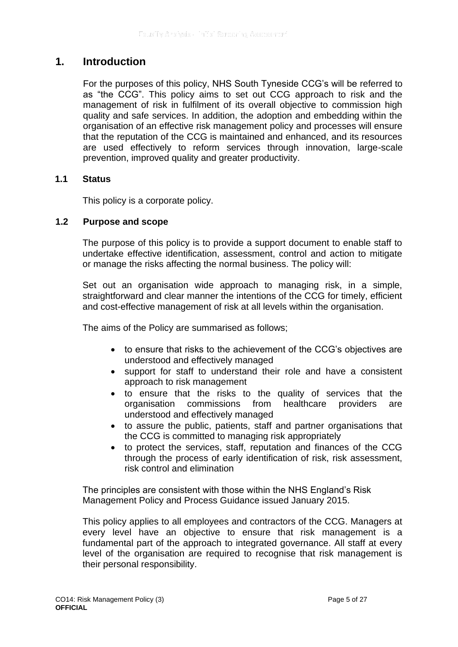## <span id="page-4-0"></span>**1. Introduction**

For the purposes of this policy, NHS South Tyneside CCG's will be referred to as "the CCG". This policy aims to set out CCG approach to risk and the management of risk in fulfilment of its overall objective to commission high quality and safe services. In addition, the adoption and embedding within the organisation of an effective risk management policy and processes will ensure that the reputation of the CCG is maintained and enhanced, and its resources are used effectively to reform services through innovation, large-scale prevention, improved quality and greater productivity.

#### **1.1 Status**

This policy is a corporate policy.

#### **1.2 Purpose and scope**

The purpose of this policy is to provide a support document to enable staff to undertake effective identification, assessment, control and action to mitigate or manage the risks affecting the normal business. The policy will:

Set out an organisation wide approach to managing risk, in a simple, straightforward and clear manner the intentions of the CCG for timely, efficient and cost-effective management of risk at all levels within the organisation.

The aims of the Policy are summarised as follows;

- to ensure that risks to the achievement of the CCG's objectives are understood and effectively managed
- support for staff to understand their role and have a consistent approach to risk management
- to ensure that the risks to the quality of services that the organisation commissions from healthcare providers are understood and effectively managed
- to assure the public, patients, staff and partner organisations that the CCG is committed to managing risk appropriately
- to protect the services, staff, reputation and finances of the CCG through the process of early identification of risk, risk assessment, risk control and elimination

The principles are consistent with those within the NHS England's Risk Management Policy and Process Guidance issued January 2015.

This policy applies to all employees and contractors of the CCG. Managers at every level have an objective to ensure that risk management is a fundamental part of the approach to integrated governance. All staff at every level of the organisation are required to recognise that risk management is their personal responsibility.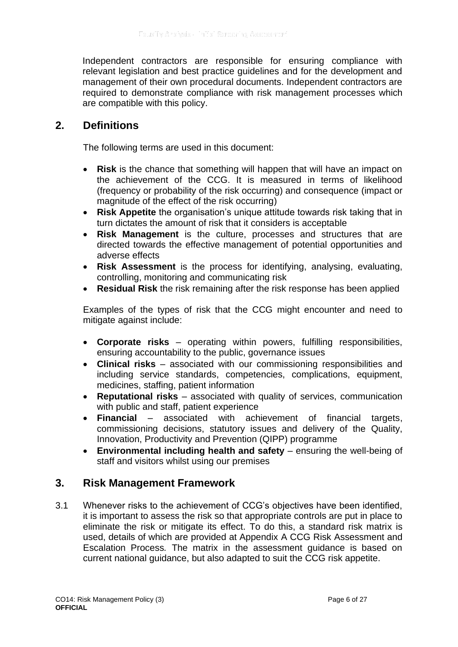Independent contractors are responsible for ensuring compliance with relevant legislation and best practice guidelines and for the development and management of their own procedural documents. Independent contractors are required to demonstrate compliance with risk management processes which are compatible with this policy.

## <span id="page-5-0"></span>**2. Definitions**

The following terms are used in this document:

- **Risk** is the chance that something will happen that will have an impact on the achievement of the CCG. It is measured in terms of likelihood (frequency or probability of the risk occurring) and consequence (impact or magnitude of the effect of the risk occurring)
- **Risk Appetite** the organisation's unique attitude towards risk taking that in turn dictates the amount of risk that it considers is acceptable
- **Risk Management** is the culture, processes and structures that are directed towards the effective management of potential opportunities and adverse effects
- **Risk Assessment** is the process for identifying, analysing, evaluating, controlling, monitoring and communicating risk
- **Residual Risk** the risk remaining after the risk response has been applied

Examples of the types of risk that the CCG might encounter and need to mitigate against include:

- **Corporate risks** operating within powers, fulfilling responsibilities, ensuring accountability to the public, governance issues
- **Clinical risks** associated with our commissioning responsibilities and including service standards, competencies, complications, equipment, medicines, staffing, patient information
- **Reputational risks** associated with quality of services, communication with public and staff, patient experience
- **Financial**  associated with achievement of financial targets, commissioning decisions, statutory issues and delivery of the Quality, Innovation, Productivity and Prevention (QIPP) programme
- **Environmental including health and safety** ensuring the well-being of staff and visitors whilst using our premises

## <span id="page-5-1"></span>**3. Risk Management Framework**

3.1 Whenever risks to the achievement of CCG's objectives have been identified, it is important to assess the risk so that appropriate controls are put in place to eliminate the risk or mitigate its effect. To do this, a standard risk matrix is used, details of which are provided at Appendix A CCG Risk Assessment and Escalation Process*.* The matrix in the assessment guidance is based on current national guidance, but also adapted to suit the CCG risk appetite.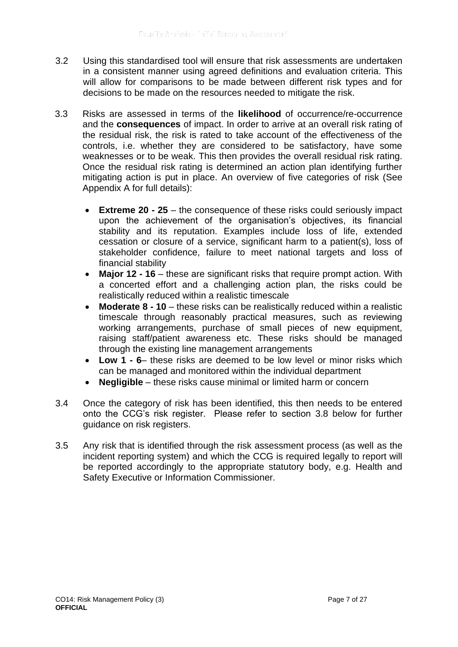- 3.2 Using this standardised tool will ensure that risk assessments are undertaken in a consistent manner using agreed definitions and evaluation criteria. This will allow for comparisons to be made between different risk types and for decisions to be made on the resources needed to mitigate the risk.
- 3.3 Risks are assessed in terms of the **likelihood** of occurrence/re-occurrence and the **consequences** of impact. In order to arrive at an overall risk rating of the residual risk, the risk is rated to take account of the effectiveness of the controls, i.e. whether they are considered to be satisfactory, have some weaknesses or to be weak. This then provides the overall residual risk rating. Once the residual risk rating is determined an action plan identifying further mitigating action is put in place. An overview of five categories of risk (See Appendix A for full details):
	- **Extreme 20 - 25**  the consequence of these risks could seriously impact upon the achievement of the organisation's objectives, its financial stability and its reputation. Examples include loss of life, extended cessation or closure of a service, significant harm to a patient(s), loss of stakeholder confidence, failure to meet national targets and loss of financial stability
	- **Major 12 - 16** these are significant risks that require prompt action. With a concerted effort and a challenging action plan, the risks could be realistically reduced within a realistic timescale
	- **Moderate 8 - 10** these risks can be realistically reduced within a realistic timescale through reasonably practical measures, such as reviewing working arrangements, purchase of small pieces of new equipment, raising staff/patient awareness etc. These risks should be managed through the existing line management arrangements
	- **Low 1 - 6** these risks are deemed to be low level or minor risks which can be managed and monitored within the individual department
	- **Negligible**  these risks cause minimal or limited harm or concern
- 3.4 Once the category of risk has been identified, this then needs to be entered onto the CCG's risk register. Please refer to section 3.8 below for further guidance on risk registers.
- 3.5 Any risk that is identified through the risk assessment process (as well as the incident reporting system) and which the CCG is required legally to report will be reported accordingly to the appropriate statutory body, e.g. Health and Safety Executive or Information Commissioner.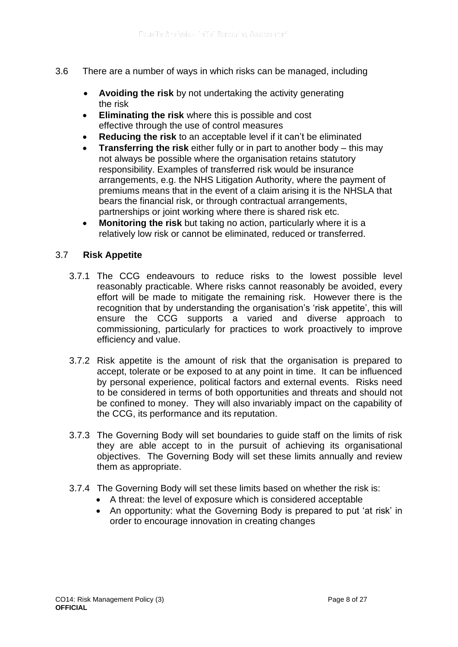- 3.6 There are a number of ways in which risks can be managed, including
	- **Avoiding the risk** by not undertaking the activity generating the risk
	- **Eliminating the risk** where this is possible and cost effective through the use of control measures
	- **Reducing the risk** to an acceptable level if it can't be eliminated
	- **Transferring the risk** either fully or in part to another body this may not always be possible where the organisation retains statutory responsibility. Examples of transferred risk would be insurance arrangements, e.g. the NHS Litigation Authority, where the payment of premiums means that in the event of a claim arising it is the NHSLA that bears the financial risk, or through contractual arrangements, partnerships or joint working where there is shared risk etc.
	- **Monitoring the risk** but taking no action, particularly where it is a relatively low risk or cannot be eliminated, reduced or transferred.

#### 3.7 **Risk Appetite**

- 3.7.1 The CCG endeavours to reduce risks to the lowest possible level reasonably practicable. Where risks cannot reasonably be avoided, every effort will be made to mitigate the remaining risk. However there is the recognition that by understanding the organisation's 'risk appetite', this will ensure the CCG supports a varied and diverse approach to commissioning, particularly for practices to work proactively to improve efficiency and value.
- 3.7.2 Risk appetite is the amount of risk that the organisation is prepared to accept, tolerate or be exposed to at any point in time. It can be influenced by personal experience, political factors and external events. Risks need to be considered in terms of both opportunities and threats and should not be confined to money. They will also invariably impact on the capability of the CCG, its performance and its reputation.
- 3.7.3 The Governing Body will set boundaries to guide staff on the limits of risk they are able accept to in the pursuit of achieving its organisational objectives. The Governing Body will set these limits annually and review them as appropriate.
- 3.7.4 The Governing Body will set these limits based on whether the risk is:
	- A threat: the level of exposure which is considered acceptable
	- An opportunity: what the Governing Body is prepared to put 'at risk' in order to encourage innovation in creating changes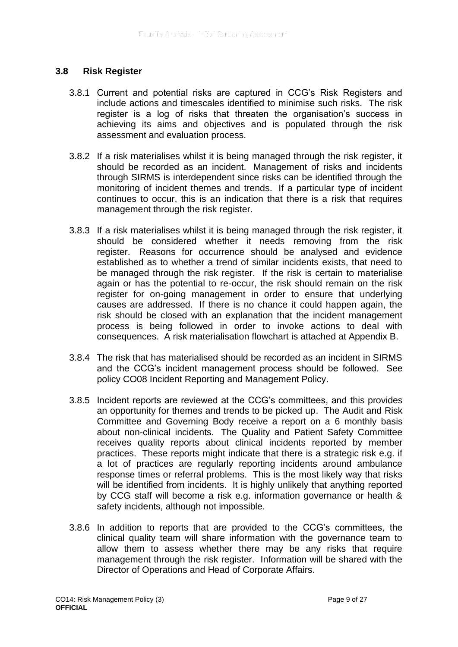#### **3.8 Risk Register**

- 3.8.1 Current and potential risks are captured in CCG's Risk Registers and include actions and timescales identified to minimise such risks. The risk register is a log of risks that threaten the organisation's success in achieving its aims and objectives and is populated through the risk assessment and evaluation process.
- 3.8.2 If a risk materialises whilst it is being managed through the risk register, it should be recorded as an incident. Management of risks and incidents through SIRMS is interdependent since risks can be identified through the monitoring of incident themes and trends. If a particular type of incident continues to occur, this is an indication that there is a risk that requires management through the risk register.
- 3.8.3 If a risk materialises whilst it is being managed through the risk register, it should be considered whether it needs removing from the risk register. Reasons for occurrence should be analysed and evidence established as to whether a trend of similar incidents exists, that need to be managed through the risk register. If the risk is certain to materialise again or has the potential to re-occur, the risk should remain on the risk register for on-going management in order to ensure that underlying causes are addressed. If there is no chance it could happen again, the risk should be closed with an explanation that the incident management process is being followed in order to invoke actions to deal with consequences. A risk materialisation flowchart is attached at Appendix B.
- 3.8.4 The risk that has materialised should be recorded as an incident in SIRMS and the CCG's incident management process should be followed. See policy CO08 Incident Reporting and Management Policy.
- 3.8.5 Incident reports are reviewed at the CCG's committees, and this provides an opportunity for themes and trends to be picked up. The Audit and Risk Committee and Governing Body receive a report on a 6 monthly basis about non-clinical incidents. The Quality and Patient Safety Committee receives quality reports about clinical incidents reported by member practices. These reports might indicate that there is a strategic risk e.g. if a lot of practices are regularly reporting incidents around ambulance response times or referral problems. This is the most likely way that risks will be identified from incidents. It is highly unlikely that anything reported by CCG staff will become a risk e.g. information governance or health & safety incidents, although not impossible.
- 3.8.6 In addition to reports that are provided to the CCG's committees, the clinical quality team will share information with the governance team to allow them to assess whether there may be any risks that require management through the risk register. Information will be shared with the Director of Operations and Head of Corporate Affairs.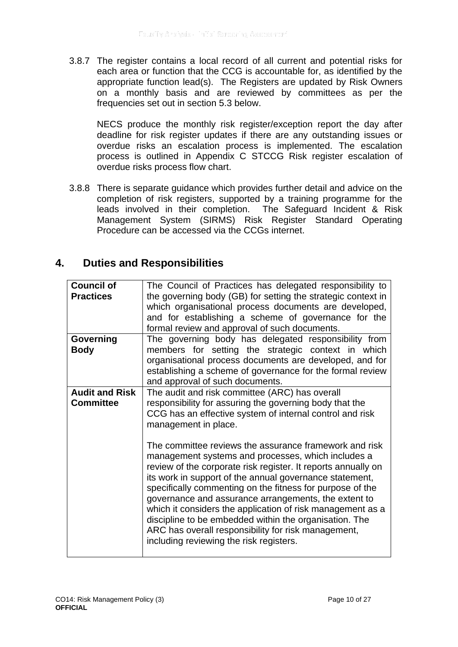3.8.7 The register contains a local record of all current and potential risks for each area or function that the CCG is accountable for, as identified by the appropriate function lead(s). The Registers are updated by Risk Owners on a monthly basis and are reviewed by committees as per the frequencies set out in section 5.3 below.

NECS produce the monthly risk register/exception report the day after deadline for risk register updates if there are any outstanding issues or overdue risks an escalation process is implemented. The escalation process is outlined in Appendix C STCCG Risk register escalation of overdue risks process flow chart.

3.8.8 There is separate guidance which provides further detail and advice on the completion of risk registers, supported by a training programme for the leads involved in their completion. The Safeguard Incident & Risk Management System (SIRMS) Risk Register Standard Operating Procedure can be accessed via the CCGs internet.

## <span id="page-9-0"></span>**4. Duties and Responsibilities**

| <b>Council of</b><br><b>Practices</b>     | The Council of Practices has delegated responsibility to<br>the governing body (GB) for setting the strategic context in<br>which organisational process documents are developed,<br>and for establishing a scheme of governance for the<br>formal review and approval of such documents.                                                                                                                                                                                                                                                                                               |  |  |
|-------------------------------------------|-----------------------------------------------------------------------------------------------------------------------------------------------------------------------------------------------------------------------------------------------------------------------------------------------------------------------------------------------------------------------------------------------------------------------------------------------------------------------------------------------------------------------------------------------------------------------------------------|--|--|
| Governing<br><b>Body</b>                  | The governing body has delegated responsibility from<br>members for setting the strategic context in which                                                                                                                                                                                                                                                                                                                                                                                                                                                                              |  |  |
|                                           | organisational process documents are developed, and for<br>establishing a scheme of governance for the formal review<br>and approval of such documents.                                                                                                                                                                                                                                                                                                                                                                                                                                 |  |  |
| <b>Audit and Risk</b><br><b>Committee</b> | The audit and risk committee (ARC) has overall<br>responsibility for assuring the governing body that the<br>CCG has an effective system of internal control and risk<br>management in place.                                                                                                                                                                                                                                                                                                                                                                                           |  |  |
|                                           | The committee reviews the assurance framework and risk<br>management systems and processes, which includes a<br>review of the corporate risk register. It reports annually on<br>its work in support of the annual governance statement,<br>specifically commenting on the fitness for purpose of the<br>governance and assurance arrangements, the extent to<br>which it considers the application of risk management as a<br>discipline to be embedded within the organisation. The<br>ARC has overall responsibility for risk management,<br>including reviewing the risk registers. |  |  |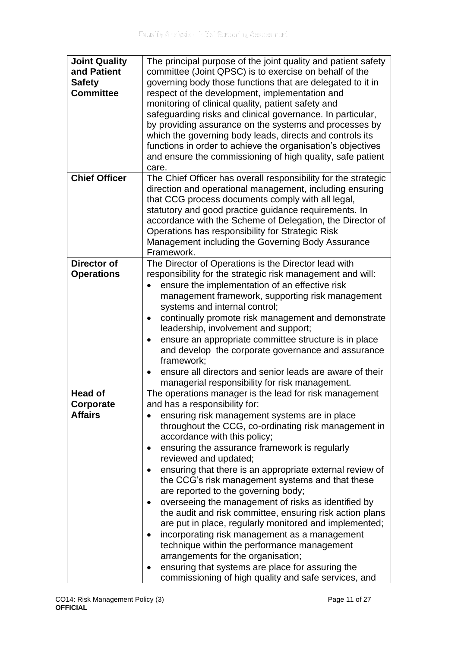| <b>Joint Quality</b><br>and Patient<br><b>Safety</b><br><b>Committee</b> | The principal purpose of the joint quality and patient safety<br>committee (Joint QPSC) is to exercise on behalf of the<br>governing body those functions that are delegated to it in<br>respect of the development, implementation and<br>monitoring of clinical quality, patient safety and<br>safeguarding risks and clinical governance. In particular,<br>by providing assurance on the systems and processes by<br>which the governing body leads, directs and controls its<br>functions in order to achieve the organisation's objectives<br>and ensure the commissioning of high quality, safe patient<br>care.                                                                                                                                                                                                                                                                                       |
|--------------------------------------------------------------------------|---------------------------------------------------------------------------------------------------------------------------------------------------------------------------------------------------------------------------------------------------------------------------------------------------------------------------------------------------------------------------------------------------------------------------------------------------------------------------------------------------------------------------------------------------------------------------------------------------------------------------------------------------------------------------------------------------------------------------------------------------------------------------------------------------------------------------------------------------------------------------------------------------------------|
| <b>Chief Officer</b>                                                     | The Chief Officer has overall responsibility for the strategic<br>direction and operational management, including ensuring<br>that CCG process documents comply with all legal,<br>statutory and good practice guidance requirements. In<br>accordance with the Scheme of Delegation, the Director of<br>Operations has responsibility for Strategic Risk<br>Management including the Governing Body Assurance<br>Framework.                                                                                                                                                                                                                                                                                                                                                                                                                                                                                  |
| <b>Director of</b><br><b>Operations</b>                                  | The Director of Operations is the Director lead with<br>responsibility for the strategic risk management and will:<br>ensure the implementation of an effective risk<br>management framework, supporting risk management<br>systems and internal control;<br>continually promote risk management and demonstrate<br>leadership, involvement and support;<br>ensure an appropriate committee structure is in place<br>and develop the corporate governance and assurance<br>framework;<br>ensure all directors and senior leads are aware of their<br>managerial responsibility for risk management.                                                                                                                                                                                                                                                                                                           |
| <b>Head of</b><br>Corporate<br><b>Affairs</b>                            | The operations manager is the lead for risk management<br>and has a responsibility for:<br>ensuring risk management systems are in place<br>throughout the CCG, co-ordinating risk management in<br>accordance with this policy;<br>ensuring the assurance framework is regularly<br>$\bullet$<br>reviewed and updated;<br>ensuring that there is an appropriate external review of<br>the CCG's risk management systems and that these<br>are reported to the governing body;<br>overseeing the management of risks as identified by<br>the audit and risk committee, ensuring risk action plans<br>are put in place, regularly monitored and implemented;<br>incorporating risk management as a management<br>technique within the performance management<br>arrangements for the organisation;<br>ensuring that systems are place for assuring the<br>commissioning of high quality and safe services, and |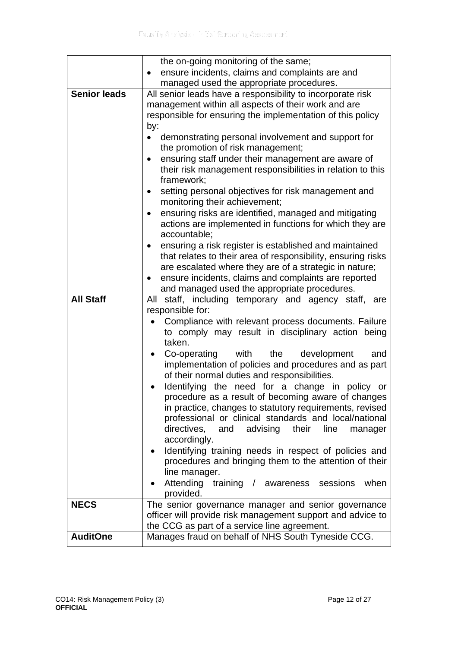|                     | the on-going monitoring of the same;                                                                                   |  |  |  |
|---------------------|------------------------------------------------------------------------------------------------------------------------|--|--|--|
|                     | ensure incidents, claims and complaints are and<br>$\bullet$                                                           |  |  |  |
|                     | managed used the appropriate procedures.                                                                               |  |  |  |
| <b>Senior leads</b> | All senior leads have a responsibility to incorporate risk                                                             |  |  |  |
|                     | management within all aspects of their work and are                                                                    |  |  |  |
|                     | responsible for ensuring the implementation of this policy                                                             |  |  |  |
|                     | by:                                                                                                                    |  |  |  |
|                     | demonstrating personal involvement and support for                                                                     |  |  |  |
|                     | the promotion of risk management;                                                                                      |  |  |  |
|                     | ensuring staff under their management are aware of<br>$\bullet$                                                        |  |  |  |
|                     | their risk management responsibilities in relation to this                                                             |  |  |  |
|                     | framework;                                                                                                             |  |  |  |
|                     | setting personal objectives for risk management and<br>٠                                                               |  |  |  |
|                     | monitoring their achievement;                                                                                          |  |  |  |
|                     | ensuring risks are identified, managed and mitigating<br>٠                                                             |  |  |  |
|                     | actions are implemented in functions for which they are                                                                |  |  |  |
|                     | accountable;                                                                                                           |  |  |  |
|                     | ensuring a risk register is established and maintained<br>that relates to their area of responsibility, ensuring risks |  |  |  |
|                     | are escalated where they are of a strategic in nature;                                                                 |  |  |  |
|                     | ensure incidents, claims and complaints are reported                                                                   |  |  |  |
|                     | and managed used the appropriate procedures.                                                                           |  |  |  |
| <b>All Staff</b>    | staff, including temporary and agency staff, are<br>All                                                                |  |  |  |
|                     | responsible for:                                                                                                       |  |  |  |
|                     | Compliance with relevant process documents. Failure                                                                    |  |  |  |
|                     | to comply may result in disciplinary action being                                                                      |  |  |  |
|                     | taken.                                                                                                                 |  |  |  |
|                     | with the development<br>Co-operating<br>and                                                                            |  |  |  |
|                     | implementation of policies and procedures and as part                                                                  |  |  |  |
|                     | of their normal duties and responsibilities.                                                                           |  |  |  |
|                     | Identifying the need for a change in policy or                                                                         |  |  |  |
|                     | procedure as a result of becoming aware of changes                                                                     |  |  |  |
|                     | in practice, changes to statutory requirements, revised                                                                |  |  |  |
|                     | professional or clinical standards and local/national                                                                  |  |  |  |
|                     | and advising their<br>directives,<br>line<br>manager                                                                   |  |  |  |
|                     | accordingly.                                                                                                           |  |  |  |
|                     | Identifying training needs in respect of policies and<br>$\bullet$                                                     |  |  |  |
|                     | procedures and bringing them to the attention of their                                                                 |  |  |  |
|                     | line manager.                                                                                                          |  |  |  |
|                     | Attending training / awareness sessions<br>when                                                                        |  |  |  |
|                     | provided.                                                                                                              |  |  |  |
| <b>NECS</b>         | The senior governance manager and senior governance                                                                    |  |  |  |
|                     | officer will provide risk management support and advice to                                                             |  |  |  |
| <b>AuditOne</b>     | the CCG as part of a service line agreement.<br>Manages fraud on behalf of NHS South Tyneside CCG.                     |  |  |  |
|                     |                                                                                                                        |  |  |  |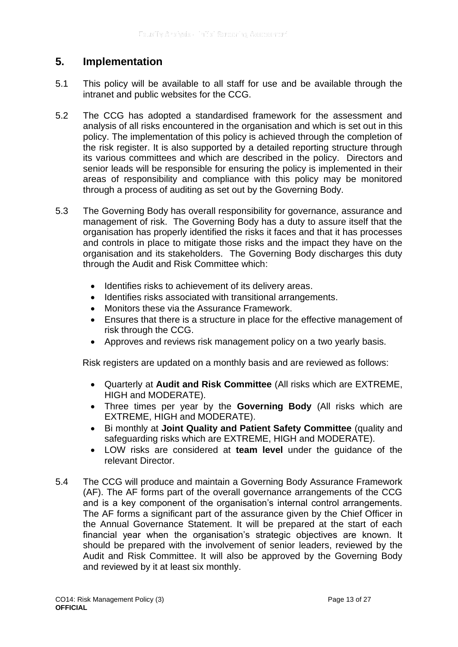## <span id="page-12-0"></span>**5. Implementation**

- 5.1 This policy will be available to all staff for use and be available through the intranet and public websites for the CCG.
- 5.2 The CCG has adopted a standardised framework for the assessment and analysis of all risks encountered in the organisation and which is set out in this policy. The implementation of this policy is achieved through the completion of the risk register. It is also supported by a detailed reporting structure through its various committees and which are described in the policy. Directors and senior leads will be responsible for ensuring the policy is implemented in their areas of responsibility and compliance with this policy may be monitored through a process of auditing as set out by the Governing Body.
- 5.3 The Governing Body has overall responsibility for governance, assurance and management of risk. The Governing Body has a duty to assure itself that the organisation has properly identified the risks it faces and that it has processes and controls in place to mitigate those risks and the impact they have on the organisation and its stakeholders. The Governing Body discharges this duty through the Audit and Risk Committee which:
	- Identifies risks to achievement of its delivery areas.
	- Identifies risks associated with transitional arrangements.
	- Monitors these via the Assurance Framework.
	- Ensures that there is a structure in place for the effective management of risk through the CCG.
	- Approves and reviews risk management policy on a two yearly basis.

Risk registers are updated on a monthly basis and are reviewed as follows:

- Quarterly at **Audit and Risk Committee** (All risks which are EXTREME, HIGH and MODERATE).
- Three times per year by the **Governing Body** (All risks which are EXTREME, HIGH and MODERATE).
- Bi monthly at **Joint Quality and Patient Safety Committee** (quality and safeguarding risks which are EXTREME, HIGH and MODERATE).
- LOW risks are considered at **team level** under the guidance of the relevant Director.
- 5.4 The CCG will produce and maintain a Governing Body Assurance Framework (AF). The AF forms part of the overall governance arrangements of the CCG and is a key component of the organisation's internal control arrangements. The AF forms a significant part of the assurance given by the Chief Officer in the Annual Governance Statement. It will be prepared at the start of each financial year when the organisation's strategic objectives are known. It should be prepared with the involvement of senior leaders, reviewed by the Audit and Risk Committee. It will also be approved by the Governing Body and reviewed by it at least six monthly.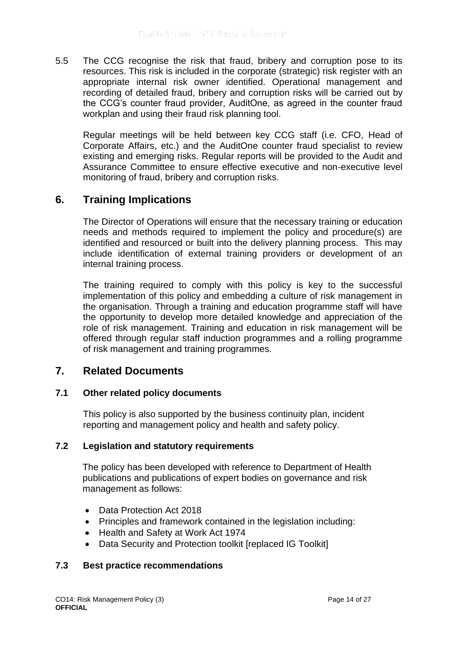5.5 The CCG recognise the risk that fraud, bribery and corruption pose to its resources. This risk is included in the corporate (strategic) risk register with an appropriate internal risk owner identified. Operational management and recording of detailed fraud, bribery and corruption risks will be carried out by the CCG's counter fraud provider, AuditOne, as agreed in the counter fraud workplan and using their fraud risk planning tool.

Regular meetings will be held between key CCG staff (i.e. CFO, Head of Corporate Affairs, etc.) and the AuditOne counter fraud specialist to review existing and emerging risks. Regular reports will be provided to the Audit and Assurance Committee to ensure effective executive and non-executive level monitoring of fraud, bribery and corruption risks.

## <span id="page-13-0"></span>**6. Training Implications**

The Director of Operations will ensure that the necessary training or education needs and methods required to implement the policy and procedure(s) are identified and resourced or built into the delivery planning process. This may include identification of external training providers or development of an internal training process.

The training required to comply with this policy is key to the successful implementation of this policy and embedding a culture of risk management in the organisation. Through a training and education programme staff will have the opportunity to develop more detailed knowledge and appreciation of the role of risk management. Training and education in risk management will be offered through regular staff induction programmes and a rolling programme of risk management and training programmes.

#### <span id="page-13-1"></span>**7. Related Documents**

#### **7.1 Other related policy documents**

This policy is also supported by the business continuity plan, incident reporting and management policy and health and safety policy.

#### **7.2 Legislation and statutory requirements**

The policy has been developed with reference to Department of Health publications and publications of expert bodies on governance and risk management as follows:

- Data Protection Act 2018
- Principles and framework contained in the legislation including:
- Health and Safety at Work Act 1974
- Data Security and Protection toolkit [replaced IG Toolkit]

#### **7.3 Best practice recommendations**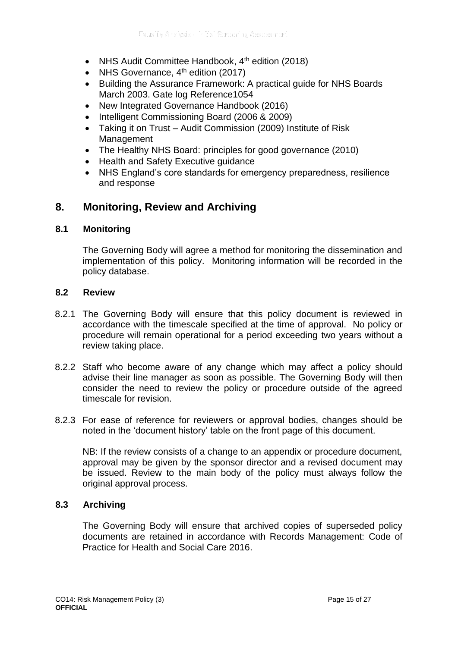- NHS Audit Committee Handbook, 4<sup>th</sup> edition (2018)
- NHS Governance, 4<sup>th</sup> edition (2017)
- Building the Assurance Framework: A practical guide for NHS Boards March 2003. Gate log Reference1054
- New Integrated Governance Handbook (2016)
- Intelligent Commissioning Board (2006 & 2009)
- Taking it on Trust Audit Commission (2009) Institute of Risk Management
- The Healthy NHS Board: principles for good governance (2010)
- Health and Safety Executive guidance
- NHS England's core standards for emergency preparedness, resilience and response

## <span id="page-14-0"></span>**8. Monitoring, Review and Archiving**

#### **8.1 Monitoring**

The Governing Body will agree a method for monitoring the dissemination and implementation of this policy. Monitoring information will be recorded in the policy database.

#### **8.2 Review**

- 8.2.1 The Governing Body will ensure that this policy document is reviewed in accordance with the timescale specified at the time of approval. No policy or procedure will remain operational for a period exceeding two years without a review taking place.
- 8.2.2 Staff who become aware of any change which may affect a policy should advise their line manager as soon as possible. The Governing Body will then consider the need to review the policy or procedure outside of the agreed timescale for revision.
- 8.2.3 For ease of reference for reviewers or approval bodies, changes should be noted in the 'document history' table on the front page of this document.

NB: If the review consists of a change to an appendix or procedure document, approval may be given by the sponsor director and a revised document may be issued. Review to the main body of the policy must always follow the original approval process.

#### **8.3 Archiving**

The Governing Body will ensure that archived copies of superseded policy documents are retained in accordance with Records Management: Code of Practice for Health and Social Care 2016.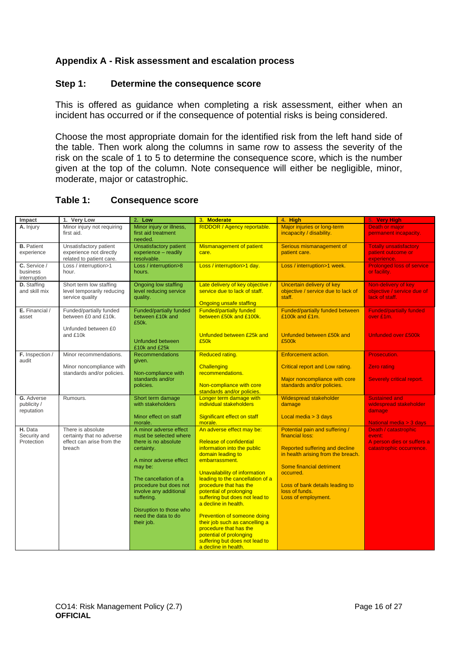#### <span id="page-15-0"></span>**Appendix A - Risk assessment and escalation process**

#### **Step 1: Determine the consequence score**

This is offered as guidance when completing a risk assessment, either when an incident has occurred or if the consequence of potential risks is being considered.

Choose the most appropriate domain for the identified risk from the left hand side of the table. Then work along the columns in same row to assess the severity of the risk on the scale of 1 to 5 to determine the consequence score, which is the number given at the top of the column. Note consequence will either be negligible, minor, moderate, major or catastrophic.

| Impact                                   | 1. Very Low                                                                           | 2. Low                                                                                                                                                                                                                                                                                 | 3. Moderate                                                                                                                                                                                                                                                                                                                                                                                                                                                                   | 4. High                                                                                                                                                                                                                                        | 5. Very High                                                                             |
|------------------------------------------|---------------------------------------------------------------------------------------|----------------------------------------------------------------------------------------------------------------------------------------------------------------------------------------------------------------------------------------------------------------------------------------|-------------------------------------------------------------------------------------------------------------------------------------------------------------------------------------------------------------------------------------------------------------------------------------------------------------------------------------------------------------------------------------------------------------------------------------------------------------------------------|------------------------------------------------------------------------------------------------------------------------------------------------------------------------------------------------------------------------------------------------|------------------------------------------------------------------------------------------|
| A. Injury                                | Minor injury not requiring<br>first aid.                                              | Minor injury or illness,<br>first aid treatment<br>needed.                                                                                                                                                                                                                             | RIDDOR / Agency reportable.                                                                                                                                                                                                                                                                                                                                                                                                                                                   | Major injuries or long-term<br>incapacity / disability.                                                                                                                                                                                        | Death or major<br>permanent incapacity.                                                  |
| <b>B.</b> Patient<br>experience          | Unsatisfactory patient<br>experience not directly<br>related to patient care.         | <b>Unsatisfactory patient</b><br>experience - readily<br>resolvable.                                                                                                                                                                                                                   | Mismanagement of patient<br>care.                                                                                                                                                                                                                                                                                                                                                                                                                                             | Serious mismanagement of<br>patient care.                                                                                                                                                                                                      | <b>Totally unsatisfactory</b><br>patient outcome or<br>experience.                       |
| C. Service /<br>business<br>interruption | Loss / interruption>1<br>hour.                                                        | Loss / interruption>8<br>hours.                                                                                                                                                                                                                                                        | Loss / interruption>1 day.                                                                                                                                                                                                                                                                                                                                                                                                                                                    | Loss / interruption>1 week.                                                                                                                                                                                                                    | <b>Prolonged loss of service</b><br>or facility.                                         |
| D. Staffing<br>and skill mix             | Short term low staffing<br>level temporarily reducing<br>service quality              | Ongoing low staffing<br>level reducing service<br>quality.                                                                                                                                                                                                                             | Late delivery of key objective /<br>service due to lack of staff.<br><b>Ongoing unsafe staffing</b>                                                                                                                                                                                                                                                                                                                                                                           | Uncertain delivery of key<br>objective / service due to lack of<br>staff.                                                                                                                                                                      | Non-delivery of key<br>objective / service due of<br>lack of staff.                      |
| E. Financial /<br>asset                  | Funded/partially funded<br>between £0 and £10k.<br>Unfunded between £0                | Funded/partially funded<br>between £10k and<br>£50k.                                                                                                                                                                                                                                   | <b>Funded/partially funded</b><br>between £50k and £100k.                                                                                                                                                                                                                                                                                                                                                                                                                     | <b>Funded/partially funded between</b><br>£100k and £1m.                                                                                                                                                                                       | <b>Funded/partially funded</b><br>over £1m.                                              |
|                                          | and £10k                                                                              | Unfunded between<br>£10k and £25k                                                                                                                                                                                                                                                      | Unfunded between £25k and<br>£50k                                                                                                                                                                                                                                                                                                                                                                                                                                             | Unfunded between £50k and<br>£500k                                                                                                                                                                                                             | <b>Unfunded over £500k</b>                                                               |
| F. Inspection /<br>audit                 | Minor recommendations.<br>Minor noncompliance with<br>standards and/or policies.      | <b>Recommendations</b><br>given.<br>Non-compliance with<br>standards and/or<br>policies.                                                                                                                                                                                               | <b>Reduced rating.</b><br>Challenging<br>recommendations.<br>Non-compliance with core                                                                                                                                                                                                                                                                                                                                                                                         | Enforcement action.<br>Critical report and Low rating.<br>Major noncompliance with core<br>standards and/or policies.                                                                                                                          | Prosecution.<br><b>Zero rating</b><br><b>Severely critical report.</b>                   |
| G. Adverse<br>publicity /<br>reputation  | Rumours.                                                                              | Short term damage<br>with stakeholders<br>Minor effect on staff<br>morale.                                                                                                                                                                                                             | standards and/or policies.<br>Longer term damage with<br>individual stakeholders<br>Significant effect on staff<br>morale.                                                                                                                                                                                                                                                                                                                                                    | Widespread stakeholder<br>damage<br>Local media $>$ 3 days                                                                                                                                                                                     | <b>Sustained and</b><br>widespread stakeholder<br>damage<br>National media > 3 days      |
| H. Data<br>Security and<br>Protection    | There is absolute<br>certainty that no adverse<br>effect can arise from the<br>breach | A minor adverse effect<br>must be selected where<br>there is no absolute<br>certainty.<br>A minor adverse effect<br>may be:<br>The cancellation of a<br>procedure but does not<br>involve any additional<br>suffering.<br>Disruption to those who<br>need the data to do<br>their job. | An adverse effect may be:<br><b>Release of confidential</b><br>information into the public<br>domain leading to<br>embarrassment.<br>Unavailability of information<br>leading to the cancellation of a<br>procedure that has the<br>potential of prolonging<br>suffering but does not lead to<br>a decline in health.<br>Prevention of someone doing<br>their job such as cancelling a<br>procedure that has the<br>potential of prolonging<br>suffering but does not lead to | Potential pain and suffering /<br>financial loss:<br>Reported suffering and decline<br>in health arising from the breach.<br>Some financial detriment<br>occurred.<br>Loss of bank details leading to<br>loss of funds.<br>Loss of employment. | Death / catastrophic<br>event:<br>A person dies or suffers a<br>catastrophic occurrence. |

a decline in health.

#### **Table 1: Consequence score**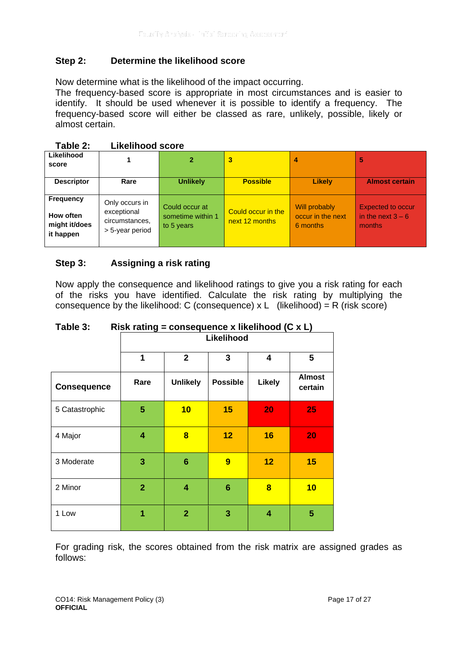#### **Step 2: Determine the likelihood score**

Now determine what is the likelihood of the impact occurring.

The frequency-based score is appropriate in most circumstances and is easier to identify. It should be used whenever it is possible to identify a frequency. The frequency-based score will either be classed as rare, unlikely, possible, likely or almost certain.

| Likelihood<br>score                                         |                                                                    | $\mathbf{2}$                                      | 3                                    | 4                                              | 5                                                         |
|-------------------------------------------------------------|--------------------------------------------------------------------|---------------------------------------------------|--------------------------------------|------------------------------------------------|-----------------------------------------------------------|
| <b>Descriptor</b>                                           | Rare                                                               | <b>Unlikely</b>                                   | <b>Possible</b>                      | <b>Likely</b>                                  | <b>Almost certain</b>                                     |
| <b>Frequency</b><br>How often<br>might it/does<br>it happen | Only occurs in<br>exceptional<br>circumstances,<br>> 5-year period | Could occur at<br>sometime within 1<br>to 5 years | Could occur in the<br>next 12 months | Will probably<br>occur in the next<br>6 months | <b>Expected to occur</b><br>in the next $3 - 6$<br>months |

| Table 2: | <b>Likelihood score</b> |
|----------|-------------------------|
|----------|-------------------------|

#### **Step 3: Assigning a risk rating**

Now apply the consequence and likelihood ratings to give you a risk rating for each of the risks you have identified. Calculate the risk rating by multiplying the consequence by the likelihood: C (consequence)  $x L$  (likelihood) = R (risk score)

|                    | <br>$\sqrt{2}$<br>Likelihood |                         |                 |                         |                          |
|--------------------|------------------------------|-------------------------|-----------------|-------------------------|--------------------------|
|                    | 1                            | $\mathbf{2}$            | 3               | $\overline{\mathbf{4}}$ | 5                        |
| <b>Consequence</b> | Rare                         | <b>Unlikely</b>         | <b>Possible</b> | <b>Likely</b>           | <b>Almost</b><br>certain |
| 5 Catastrophic     | 5                            | 10                      | 15              | 20                      | 25                       |
| 4 Major            | 4                            | $\overline{\mathbf{8}}$ | 12              | <b>16</b>               | 20                       |
| 3 Moderate         | 3                            | $6\phantom{1}6$         | 9               | 12                      | 15                       |
| 2 Minor            | $\overline{2}$               | $\overline{\mathbf{4}}$ | $6\phantom{1}6$ | $\overline{\mathbf{8}}$ | 10                       |
| 1 Low              | 1                            | $\overline{2}$          | 3               | $\overline{\mathbf{4}}$ | 5                        |

#### **Table 3: Risk rating = consequence x likelihood (C x L)**

For grading risk, the scores obtained from the risk matrix are assigned grades as follows: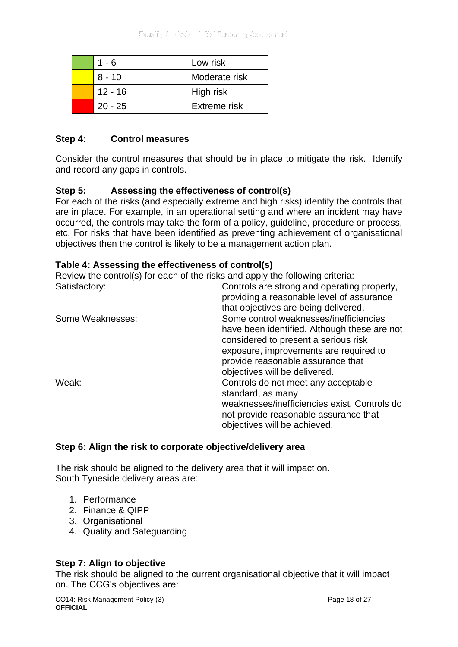| $1 - 6$   | Low risk      |
|-----------|---------------|
| $8 - 10$  | Moderate risk |
| $12 - 16$ | High risk     |
| $20 - 25$ | Extreme risk  |

#### **Step 4: Control measures**

Consider the control measures that should be in place to mitigate the risk. Identify and record any gaps in controls.

#### **Step 5: Assessing the effectiveness of control(s)**

For each of the risks (and especially extreme and high risks) identify the controls that are in place. For example, in an operational setting and where an incident may have occurred, the controls may take the form of a policy, guideline, procedure or process, etc. For risks that have been identified as preventing achievement of organisational objectives then the control is likely to be a management action plan.

#### **Table 4: Assessing the effectiveness of control(s)**

Review the control(s) for each of the risks and apply the following criteria:

| Satisfactory:    | Controls are strong and operating properly,<br>providing a reasonable level of assurance<br>that objectives are being delivered.                                                                                                               |
|------------------|------------------------------------------------------------------------------------------------------------------------------------------------------------------------------------------------------------------------------------------------|
| Some Weaknesses: | Some control weaknesses/inefficiencies<br>have been identified. Although these are not<br>considered to present a serious risk<br>exposure, improvements are required to<br>provide reasonable assurance that<br>objectives will be delivered. |
| Weak:            | Controls do not meet any acceptable<br>standard, as many<br>weaknesses/inefficiencies exist. Controls do<br>not provide reasonable assurance that<br>objectives will be achieved.                                                              |

#### **Step 6: Align the risk to corporate objective/delivery area**

The risk should be aligned to the delivery area that it will impact on. South Tyneside delivery areas are:

- 1. Performance
- 2. Finance & QIPP
- 3. Organisational
- 4. Quality and Safeguarding

#### **Step 7: Align to objective**

The risk should be aligned to the current organisational objective that it will impact on. The CCG's objectives are: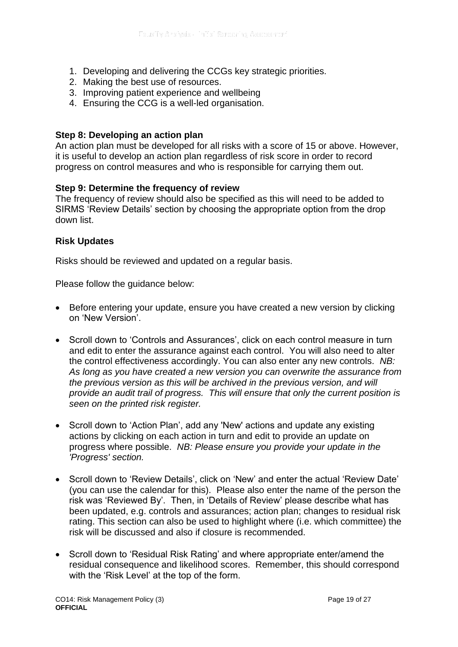- 1. Developing and delivering the CCGs key strategic priorities.
- 2. Making the best use of resources.
- 3. Improving patient experience and wellbeing
- 4. Ensuring the CCG is a well-led organisation.

#### **Step 8: Developing an action plan**

An action plan must be developed for all risks with a score of 15 or above. However, it is useful to develop an action plan regardless of risk score in order to record progress on control measures and who is responsible for carrying them out.

#### **Step 9: Determine the frequency of review**

The frequency of review should also be specified as this will need to be added to SIRMS 'Review Details' section by choosing the appropriate option from the drop down list.

#### **Risk Updates**

Risks should be reviewed and updated on a regular basis.

Please follow the guidance below:

- Before entering your update, ensure you have created a new version by clicking on 'New Version'.
- Scroll down to 'Controls and Assurances', click on each control measure in turn and edit to enter the assurance against each control. You will also need to alter the control effectiveness accordingly. You can also enter any new controls. *NB: As long as you have created a new version you can overwrite the assurance from the previous version as this will be archived in the previous version, and will provide an audit trail of progress. This will ensure that only the current position is seen on the printed risk register.*
- Scroll down to 'Action Plan', add any 'New' actions and update any existing actions by clicking on each action in turn and edit to provide an update on progress where possible. *NB: Please ensure you provide your update in the 'Progress' section.*
- Scroll down to 'Review Details', click on 'New' and enter the actual 'Review Date' (you can use the calendar for this). Please also enter the name of the person the risk was 'Reviewed By'. Then, in 'Details of Review' please describe what has been updated, e.g. controls and assurances; action plan; changes to residual risk rating. This section can also be used to highlight where (i.e. which committee) the risk will be discussed and also if closure is recommended.
- Scroll down to 'Residual Risk Rating' and where appropriate enter/amend the residual consequence and likelihood scores. Remember, this should correspond with the 'Risk Level' at the top of the form.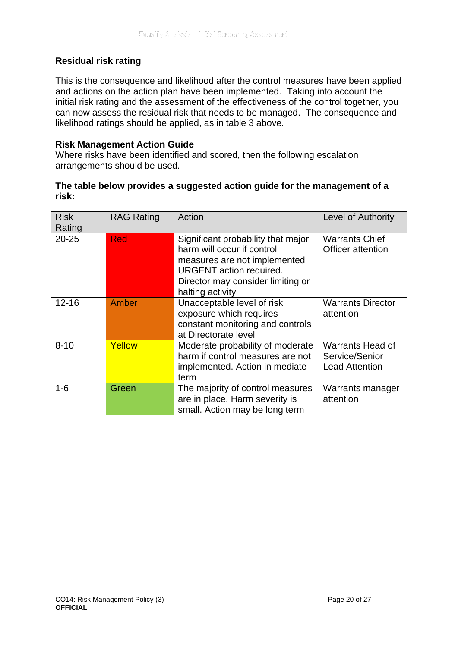#### **Residual risk rating**

This is the consequence and likelihood after the control measures have been applied and actions on the action plan have been implemented. Taking into account the initial risk rating and the assessment of the effectiveness of the control together, you can now assess the residual risk that needs to be managed. The consequence and likelihood ratings should be applied, as in table 3 above.

#### **Risk Management Action Guide**

Where risks have been identified and scored, then the following escalation arrangements should be used.

#### **The table below provides a suggested action guide for the management of a risk:**

| <b>Risk</b><br>Rating | <b>RAG Rating</b> | Action                                                                                                                                                                                      | <b>Level of Authority</b>                                   |
|-----------------------|-------------------|---------------------------------------------------------------------------------------------------------------------------------------------------------------------------------------------|-------------------------------------------------------------|
| $20 - 25$             | <b>Red</b>        | Significant probability that major<br>harm will occur if control<br>measures are not implemented<br><b>URGENT</b> action required.<br>Director may consider limiting or<br>halting activity | <b>Warrants Chief</b><br>Officer attention                  |
| $12 - 16$             | Amber             | Unacceptable level of risk<br>exposure which requires<br>constant monitoring and controls<br>at Directorate level                                                                           | <b>Warrants Director</b><br>attention                       |
| $8 - 10$              | Yellow            | Moderate probability of moderate<br>harm if control measures are not<br>implemented. Action in mediate<br>term                                                                              | Warrants Head of<br>Service/Senior<br><b>Lead Attention</b> |
| $1 - 6$               | Green             | The majority of control measures<br>are in place. Harm severity is<br>small. Action may be long term                                                                                        | Warrants manager<br>attention                               |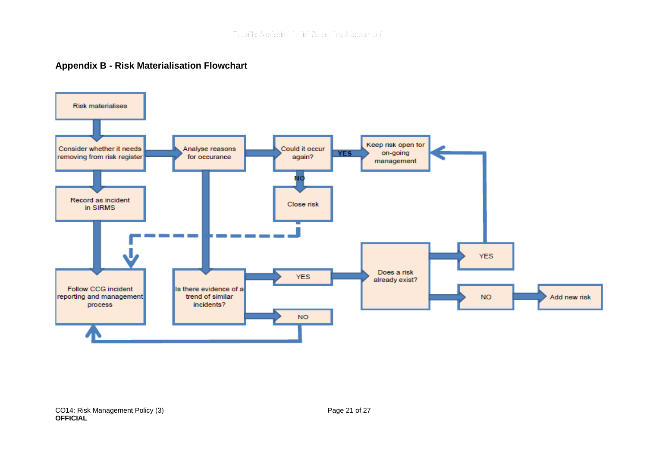#### **Appendix B - Risk Materialisation Flowchart**

<span id="page-20-0"></span>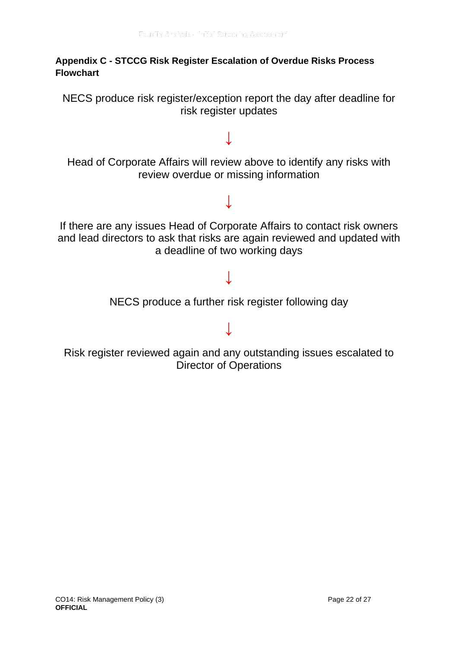#### <span id="page-21-0"></span>**Appendix C - STCCG Risk Register Escalation of Overdue Risks Process Flowchart**

NECS produce risk register/exception report the day after deadline for risk register updates

## Head of Corporate Affairs will review above to identify any risks with review overdue or missing information

**↓**

## **↓**

If there are any issues Head of Corporate Affairs to contact risk owners and lead directors to ask that risks are again reviewed and updated with a deadline of two working days

# **↓**

NECS produce a further risk register following day

# **↓**

Risk register reviewed again and any outstanding issues escalated to Director of Operations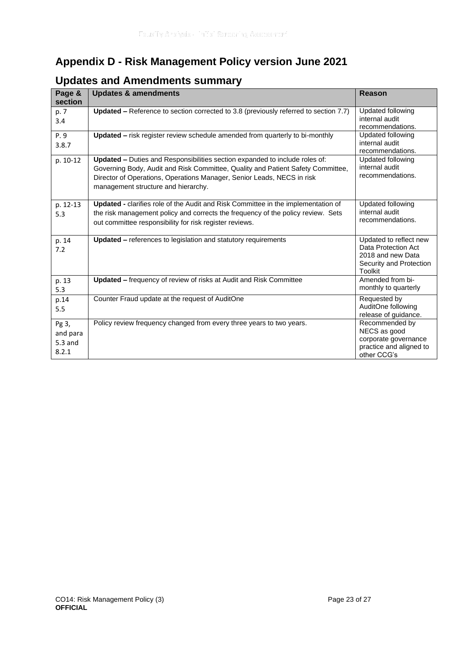## <span id="page-22-0"></span>**Appendix D - Risk Management Policy version June 2021**

| Page &<br>section                       | <b>Updates &amp; amendments</b>                                                                                                                                                                                                                                                        | Reason                                                                                                          |
|-----------------------------------------|----------------------------------------------------------------------------------------------------------------------------------------------------------------------------------------------------------------------------------------------------------------------------------------|-----------------------------------------------------------------------------------------------------------------|
| p. 7<br>3.4                             | <b>Updated - Reference to section corrected to 3.8 (previously referred to section 7.7)</b>                                                                                                                                                                                            | Updated following<br>internal audit<br>recommendations.                                                         |
| P. 9<br>3.8.7                           | Updated - risk register review schedule amended from quarterly to bi-monthly                                                                                                                                                                                                           | Updated following<br>internal audit<br>recommendations.                                                         |
| p. 10-12                                | <b>Updated - Duties and Responsibilities section expanded to include roles of:</b><br>Governing Body, Audit and Risk Committee, Quality and Patient Safety Committee,<br>Director of Operations, Operations Manager, Senior Leads, NECS in risk<br>management structure and hierarchy. | Updated following<br>internal audit<br>recommendations.                                                         |
| p. 12-13<br>5.3                         | Updated - clarifies role of the Audit and Risk Committee in the implementation of<br>the risk management policy and corrects the frequency of the policy review. Sets<br>out committee responsibility for risk register reviews.                                                       | Updated following<br>internal audit<br>recommendations.                                                         |
| p. 14<br>7.2                            | Updated - references to legislation and statutory requirements                                                                                                                                                                                                                         | Updated to reflect new<br>Data Protection Act<br>2018 and new Data<br>Security and Protection<br><b>Toolkit</b> |
| p. 13<br>5.3                            | Updated - frequency of review of risks at Audit and Risk Committee                                                                                                                                                                                                                     | Amended from bi-<br>monthly to quarterly                                                                        |
| p.14<br>5.5                             | Counter Fraud update at the request of AuditOne                                                                                                                                                                                                                                        | Requested by<br>AuditOne following<br>release of guidance.                                                      |
| Pg 3,<br>and para<br>$5.3$ and<br>8.2.1 | Policy review frequency changed from every three years to two years.                                                                                                                                                                                                                   | Recommended by<br>NECS as good<br>corporate governance<br>practice and aligned to<br>other CCG's                |

## **Updates and Amendments summary**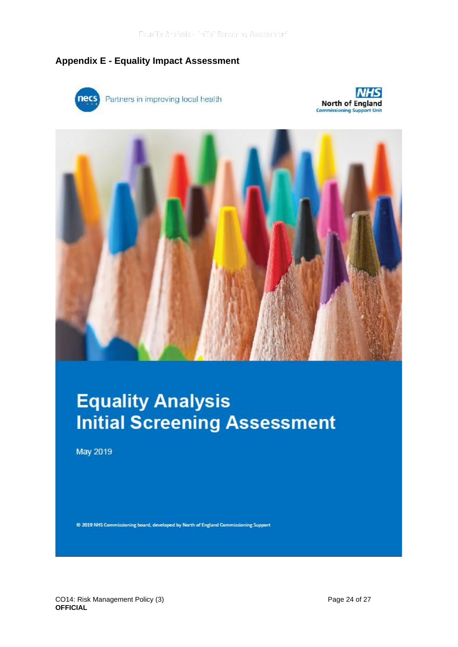#### <span id="page-23-0"></span>**Appendix E - Equality Impact Assessment**







# **Equality Analysis Initial Screening Assessment**

May 2019

@ 2019 NHS Commissioning board, developed by North of England Commissioning Support

CO14: Risk Management Policy (3) Page 24 of 27 **OFFICIAL**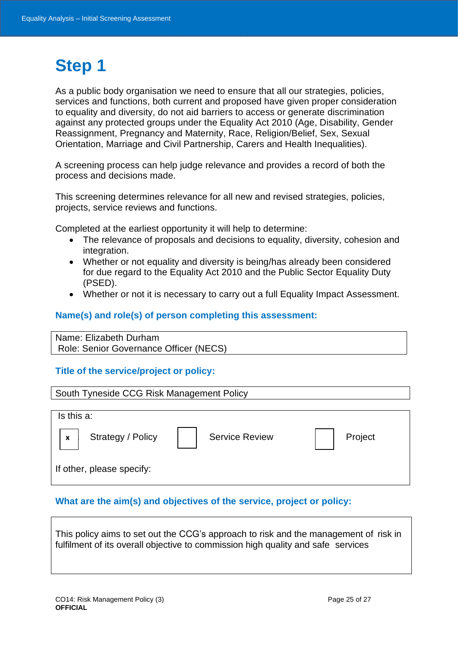# **Step 1**

As a public body organisation we need to ensure that all our strategies, policies, services and functions, both current and proposed have given proper consideration to equality and diversity, do not aid barriers to access or generate discrimination against any protected groups under the Equality Act 2010 (Age, Disability, Gender Reassignment, Pregnancy and Maternity, Race, Religion/Belief, Sex, Sexual Orientation, Marriage and Civil Partnership, Carers and Health Inequalities).

A screening process can help judge relevance and provides a record of both the process and decisions made.

This screening determines relevance for all new and revised strategies, policies, projects, service reviews and functions.

Completed at the earliest opportunity it will help to determine:

- The relevance of proposals and decisions to equality, diversity, cohesion and integration.
- Whether or not equality and diversity is being/has already been considered for due regard to the Equality Act 2010 and the Public Sector Equality Duty (PSED).
- Whether or not it is necessary to carry out a full Equality Impact Assessment.

#### **Name(s) and role(s) of person completing this assessment:**

Name: Elizabeth Durham Role: Senior Governance Officer (NECS)

#### **Title of the service/project or policy:**

| South Tyneside CCG Risk Management Policy |                       |         |
|-------------------------------------------|-----------------------|---------|
| Is this a:<br>Strategy / Policy<br>X      | <b>Service Review</b> | Project |
| If other, please specify:                 |                       |         |

#### **What are the aim(s) and objectives of the service, project or policy:**

This policy aims to set out the CCG's approach to risk and the management of risk in fulfilment of its overall objective to commission high quality and safe services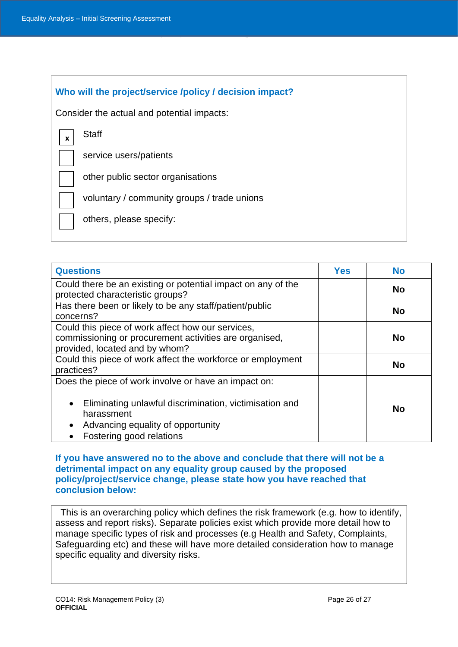| Who will the project/service /policy / decision impact? |  |  |
|---------------------------------------------------------|--|--|
|                                                         |  |  |

Consider the actual and potential impacts:

**Staff** 

**x**

service users/patients

other public sector organisations

voluntary / community groups / trade unions

others, please specify:

| <b>Questions</b>                                                                                                                                                                                           | <b>Yes</b> | <b>No</b> |
|------------------------------------------------------------------------------------------------------------------------------------------------------------------------------------------------------------|------------|-----------|
| Could there be an existing or potential impact on any of the<br>protected characteristic groups?                                                                                                           |            | <b>No</b> |
| Has there been or likely to be any staff/patient/public<br>concerns?                                                                                                                                       |            | <b>No</b> |
| Could this piece of work affect how our services,<br>commissioning or procurement activities are organised,<br>provided, located and by whom?                                                              |            | <b>No</b> |
| Could this piece of work affect the workforce or employment<br>practices?                                                                                                                                  |            | <b>No</b> |
| Does the piece of work involve or have an impact on:<br>Eliminating unlawful discrimination, victimisation and<br>harassment<br>Advancing equality of opportunity<br>$\bullet$<br>Fostering good relations |            | <b>No</b> |

**If you have answered no to the above and conclude that there will not be a detrimental impact on any equality group caused by the proposed policy/project/service change, please state how you have reached that conclusion below:** 

 This is an overarching policy which defines the risk framework (e.g. how to identify, assess and report risks). Separate policies exist which provide more detail how to manage specific types of risk and processes (e.g Health and Safety, Complaints, Safeguarding etc) and these will have more detailed consideration how to manage specific equality and diversity risks.